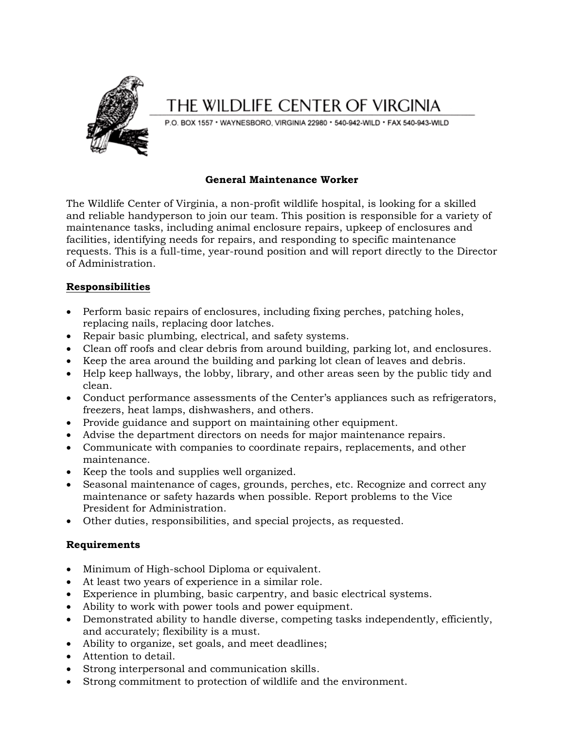

# THE WILDLIFE CENTER OF VIRGINIA

P.O. BOX 1557 · WAYNESBORO, VIRGINIA 22980 · 540-942-WILD · FAX 540-943-WILD

## **General Maintenance Worker**

The Wildlife Center of Virginia, a non-profit wildlife hospital, is looking for a skilled and reliable handyperson to join our team. This position is responsible for a variety of maintenance tasks, including animal enclosure repairs, upkeep of enclosures and facilities, identifying needs for repairs, and responding to specific maintenance requests. This is a full-time, year-round position and will report directly to the Director of Administration.

### **Responsibilities**

- Perform basic repairs of enclosures, including fixing perches, patching holes, replacing nails, replacing door latches.
- Repair basic plumbing, electrical, and safety systems.
- Clean off roofs and clear debris from around building, parking lot, and enclosures.
- Keep the area around the building and parking lot clean of leaves and debris.
- Help keep hallways, the lobby, library, and other areas seen by the public tidy and clean.
- Conduct performance assessments of the Center's appliances such as refrigerators, freezers, heat lamps, dishwashers, and others.
- Provide guidance and support on maintaining other equipment.
- Advise the department directors on needs for major maintenance repairs.
- Communicate with companies to coordinate repairs, replacements, and other maintenance.
- Keep the tools and supplies well organized.
- Seasonal maintenance of cages, grounds, perches, etc. Recognize and correct any maintenance or safety hazards when possible. Report problems to the Vice President for Administration.
- Other duties, responsibilities, and special projects, as requested.

## **Requirements**

- Minimum of High-school Diploma or equivalent.
- At least two years of experience in a similar role.
- Experience in plumbing, basic carpentry, and basic electrical systems.
- Ability to work with power tools and power equipment.
- Demonstrated ability to handle diverse, competing tasks independently, efficiently, and accurately; flexibility is a must.
- Ability to organize, set goals, and meet deadlines;
- Attention to detail.
- Strong interpersonal and communication skills.
- Strong commitment to protection of wildlife and the environment.